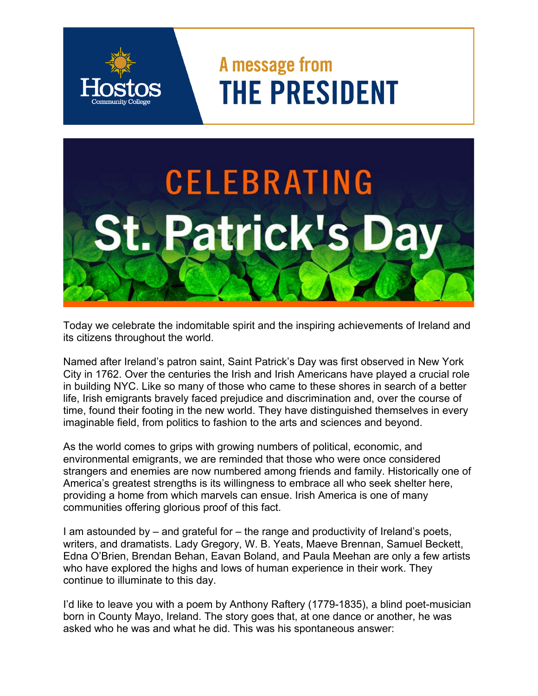## A message from **THE PRESIDENT**



Today we celebrate the indomitable spirit and the inspiring achievements of Ireland and its citizens throughout the world.

Named after Ireland's patron saint, Saint Patrick's Day was first observed in New York City in 1762. Over the centuries the Irish and Irish Americans have played a crucial role in building NYC. Like so many of those who came to these shores in search of a better life, Irish emigrants bravely faced prejudice and discrimination and, over the course of time, found their footing in the new world. They have distinguished themselves in every imaginable field, from politics to fashion to the arts and sciences and beyond.

As the world comes to grips with growing numbers of political, economic, and environmental emigrants, we are reminded that those who were once considered strangers and enemies are now numbered among friends and family. Historically one of America's greatest strengths is its willingness to embrace all who seek shelter here, providing a home from which marvels can ensue. Irish America is one of many communities offering glorious proof of this fact.

I am astounded by – and grateful for – the range and productivity of Ireland's poets, writers, and dramatists. Lady Gregory, W. B. Yeats, Maeve Brennan, Samuel Beckett, Edna O'Brien, Brendan Behan, Eavan Boland, and Paula Meehan are only a few artists who have explored the highs and lows of human experience in their work. They continue to illuminate to this day.

I'd like to leave you with a poem by Anthony Raftery (1779-1835), a blind poet-musician born in County Mayo, Ireland. The story goes that, at one dance or another, he was asked who he was and what he did. This was his spontaneous answer: